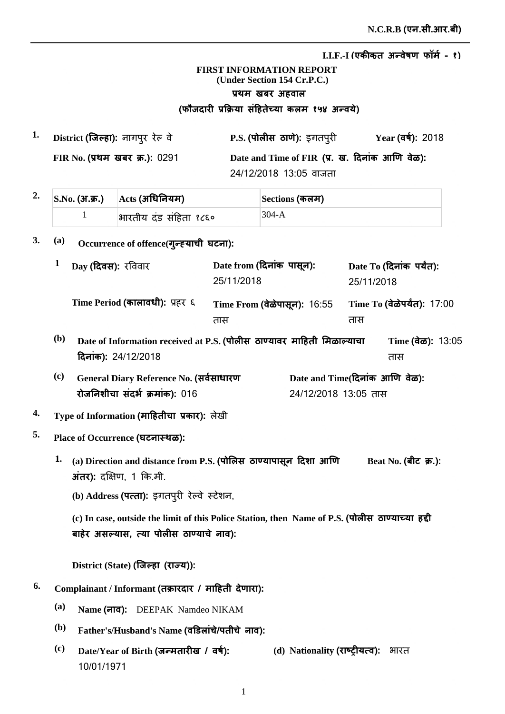## **FIRST INFORMATION REPORT (Under Section 154 Cr.P.C.)** प्रथम खबर अहवाल (फौजदारी प्रक्रिया सहितेच्या कलम १५४ अन्वर्य)

**1. P.S. District Ȫȣ ȡȯ** ^Ǖȣ **ǔã¡ȡ**ȡǕȯãȯ **Year FIR No.** प्रथम खबर क्र.): 0291 Date and Time of FIR (प्र. ख. दिनाक आणि वेळ): 24/12/2018 13:05 वाजता Year (वर्ष): 2018

| $2. \quad$ $\boxed{\text{S.No. (3T. \pi.)}} \quad$ $\boxed{\text{Acts (3T}$ धिनियम) |                        | Sections (कलम) |
|-------------------------------------------------------------------------------------|------------------------|----------------|
|                                                                                     | भारतीय दंड संहिता १८६० | 304-A          |

## 3. (a) Occurrence of offence(गुन्ह्याची घटना):

|                             | Day (दिवस): रविवार                                                                            | Date from (दिनांक पासून):<br>25/11/2018 |                                                        | 25/11/2018 | Date To (दिनांक पर्यंत):                    |
|-----------------------------|-----------------------------------------------------------------------------------------------|-----------------------------------------|--------------------------------------------------------|------------|---------------------------------------------|
|                             | Time Period (कालावधी): प्रहर ६                                                                | Time From (वेळेपासून): 16:55<br>तास     |                                                        | तास        | Time To (वेळेपर्यंत): 17:00                 |
| (b)                         | Date of Information received at P.S. (पोलीस ठाण्यावर माहिती मिळाल्याचा<br>दिनांक): 24/12/2018 |                                         |                                                        |            | Time $(\vec{a}\vec{\omega})$ : 13:05<br>तास |
| $\left( \mathbf{c} \right)$ | General Diary Reference No. (सर्वसाधारण<br>रोजनिशीचा संदर्भ क्रमांक): 016                     |                                         | Date and Time(दिनांक आणि वेळ):<br>24/12/2018 13:05 तास |            |                                             |

## **<sup>4.</sup> Type of Information (माहितीचा प्रकार):** लेखी

- **5. Place of Occurrence ȡè**
	- Beat No. (बीट) क्र.):  $1.$  (a) Direction and distance from P.S. (पोलिस) ठाण्यापासून दिशा आणि  $\overline{3}$ *i***ct):** दक्षिण, 1 कि.मी.
		- **(b) Address <b>(पत्ता):** इगतपुरी रेल्वे स्टेशन,

(c) In case, outside the limit of this Police Station, then Name of P.S. (पोलीस ठाण्याच्या हद्दी बाहेर असल्यास, त्या पोलीस ठाण्याचे नाव):

 $\text{District (State) (}$ जिल्हा (राज्य)):

- $^{6.}$  Complainant / Informant (तक्रारदार / माहिती देणारा):
	- **(a) Name ȡ**DEEPAK Namdeo NIKAM
	- $^{\rm (b)}$  Father's/Husband's Name (वडिलांचे/पतीचे नाव):
	- $\overline{\text{(c)}}$  **Date/Year of Birth (जन्मतारीख / वर्ष):** 10/01/1971 **(d) Nationality <b>(राष्ट्रीयत्व):** भारत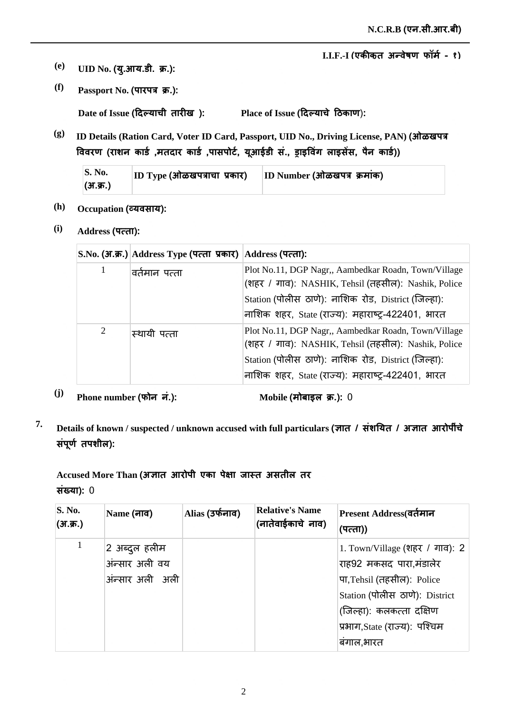- $\bf (e)$  **UID No. (यु.आय.डी. क्र.):**
- *(f)* **Passport No. (पारपत्र क्र.):**

 $\bf{Date \ of \ Issue}$  (दिल्याची तारीख ):

 $\mathbf{Place} \text{ of } \mathbf{I} \text{ s}$ sue (दिल्याचे ठिकाण):

**(g) ID Details (Ration Card, Voter ID Card, Passport, UID No., Driving License, PAN) jğ** विवरण (राशन कार्ड ,मतदार कार्ड ,पासपोर्ट, यूआईडी स., ड्राइविंग लाइसेस, पैन कार्ड))

| $\mathbf{S}$ . No. | $ ID\;Type\;(H\bar{a})$ क्षय पत्राचा प्रकार) | ID Number (ओळखपत्र क्रमांक) |
|--------------------|----------------------------------------------|-----------------------------|
| (अ.क्र.)           |                                              |                             |

- (h) **Occupation (व्यवसाय):**
- **(i) Address ×ȡ**

|   | S.No. (अ.क्र.) Address Type (पत्ता प्रकार) Address (पत्ता): |                                                                                                                                                                                                                         |
|---|-------------------------------------------------------------|-------------------------------------------------------------------------------------------------------------------------------------------------------------------------------------------------------------------------|
|   | वर्तमान पत्ता                                               | Plot No.11, DGP Nagr,, Aambedkar Roadn, Town/Village<br>(शहर / गाव): NASHIK, Tehsil (तहसील): Nashik, Police<br>Station (पोलीस ठाणे): नाशिक रोड, District (जिल्हा):<br>नाशिक शहर, State (राज्य): महाराष्ट्र-422401, भारत |
| 2 | स्थायी पत्ता                                                | Plot No.11, DGP Nagr,, Aambedkar Roadn, Town/Village<br>(शहर / गाव): NASHIK, Tehsil (तहसील): Nashik, Police<br>Station (पोलीस ठाणे): नाशिक रोड, District (जिल्हा):<br>नाशिक शहर, State (राज्य): महाराष्ट्र-422401, भारत |

<sup>(j)</sup> Phone number (फोन नं.): Mobile (

**Mobile** (मोबाइल क्र.): 0

<sup>7.</sup> Details of known / suspected / unknown accused with full particulars (ज्ञात / संशयित / अज्ञात आरोपींचे संपूर्ण तपशील):

Accused More Than (अज्ञात आरोपी एका पेक्षा जास्त असतील तर **संख्या): 0** 

| <b>S. No.</b><br>(अ.क्र.) | Name (नाव)      | Alias (उर्फनाव) | <b>Relative's Name</b><br>(नातेवाईकाचे नाव) | Present Address(वर्तमान<br>(पत्ता)) |
|---------------------------|-----------------|-----------------|---------------------------------------------|-------------------------------------|
|                           | 2 अब्दुल हलीम   |                 |                                             | 1. Town/Village (शहर / गाव): 2      |
|                           | अंन्सार अली वय  |                 |                                             | राह92 मकसद पारा,मंडालेर             |
|                           | अंन्सार अली अली |                 |                                             | पा, Tehsil (तहसील): Police          |
|                           |                 |                 |                                             | Station (पोलीस ठाणे): District      |
|                           |                 |                 |                                             | (जिल्हा): कलकत्ता दक्षिण            |
|                           |                 |                 |                                             | प्रभाग, State (राज्य): पश्चिम       |
|                           |                 |                 |                                             | बगाल,भारत                           |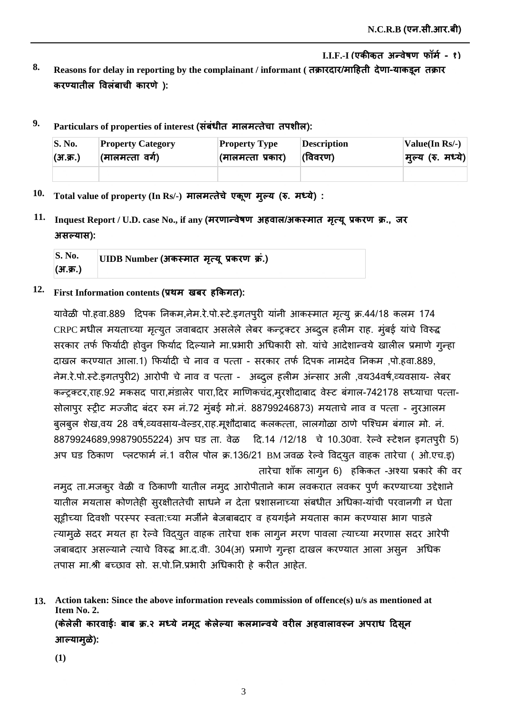- 8. Reasons for delay in reporting by the complainant / informant ( तक्रारदार/माहिती देणा-याकडून तक्रार करण्यातील विलंबाची कारणे):
- $^9$ · Particulars of properties of interest (संबंधीत मालमत्तेचा तपशील):

| S. No.   | <b>Property Category</b> | <b>Property Type</b> | <b>Description</b> | Value(In $Rs/-$ ) |
|----------|--------------------------|----------------------|--------------------|-------------------|
| (अ.क्र.) | (मालमत्ता वर्ग)          | (मालमत्ता प्रकार)    | (विवरण)            | मुल्य (रु. मध्ये) |
|          |                          |                      |                    |                   |

- $10$ . Total value of property (In Rs/-) मालमत्तेचे एकूण मुल्य (रु. मध्ये) :
- $11.$  Inquest Report / U.D. case No., if any (मरणान्वेषण अहवाल/अकस्मात मृत्यू प्रकरण क्र., जर  $3$  सल्यास):

| <b>S. No.</b> | UIDB Number (अकस्मात) मृत्यू प्रकरण क्र.) |  |
|---------------|-------------------------------------------|--|
| (अ.क्र.)      |                                           |  |

 $12$ . First Information contents (प्रथम) खबर हकिगत):

यावेळी पो.हवा.889 दिपक निकम,नेम.रे.पो.स्टे.इगतपुरी यांनी आकस्मात मृत्यु क्र.44/18 कलम 174 CRPC मधील मयताच्या मृत्युत जवाबदार असलेले लेबर कन्ट्रक्टर अब्दल हलीम राह. मुंबई यांचे विरुद्ध सरकार तर्फ फिर्यादी होवुन फिर्याद दिल्याने मा.प्रभारी अधिकारी सो. यांचे आदेशान्वये खालील प्रमाणे गुन्हा दाखल करण्यात आला.1) फिर्यादी चे नाव व पत्ता - सरकार तर्फ दिपक नामदेव निकम ,पो.हवा.889, नेम.रे.पो.स्टे.इगतपुरी2) आरोपी चे नाव व पत्ता - अब्दुल हलीम अंन्सार अली ,वय34वर्ष,व्यवसाय- लेबर कन्ट्रक्टर,राह.92 मकसद पारा,मंडालेर पारा,दिर माणिकचंद,मुरशीदाबाद वेस्ट बंगाल-742178 सध्याचा पत्ता-सोलापुर स्ट्रीट मज्जीद बंदर रुम नं.72 मुंबई मो.नं. 88799246873) मयताचे नाव व पत्ता - नुरआलम बुलबुल शेख,वय 28 वर्ष,व्यवसाय-वेल्डर,राह.मूशौदाबाद कलकत्ता, लालगोळा ठाणे पश्चिम बंगाल मो. नं. 8879924689,99879055224) अप घड ता. वेळ दि.14 /12/18 चे 10.30वा. रेल्वे स्टेशन इगतपुरी 5) अप घड ठिकाण प्लटफार्म न.1 वरील पोल क्र.136/21 BM जवळ रेल्वे विद्युत वाहक तारेचा ( ओ.एच.इ) तारेचा शॉक लागून 6) हकिकत -अश्या प्रकारे की वर

नमुद ता.मजकुर वेळी व ठिकाणी यातील नमुद आरोपीताने काम लवकरात लवकर पूर्ण करण्याच्या उद्देशाने यातील मयतास कोणतेही सुरक्षीततेची साधने न देता प्रशासनाच्या संबधीत अधिका-यांची परवानगी न घेता सूट्टीच्या दिवशी परस्पर स्वता:च्या मर्जीने बेजबाबदार व हयगईने मयतास काम करण्यास भाग पाडले त्यामुळे सदर मयत हा रेल्वे विद्युत वाहक तारेचा शक लागुन मरण पावला त्याच्या मरणास सदर आरेपी जबाबदार असल्याने त्याचे विरुद्ध भा.द.वी. 304(अ) प्रमाणे गुन्हा दाखल करण्यात आला असुन अधिक तपास मा.श्री बच्छाव सो. स.पो.नि.प्रभारी अधिकारी हे करीत आहेत.

**Action taken: Since the above information reveals commission of offence(s) u/s as mentioned at 13. Item No. 2.** (केलेली कारवाईः बाब क्र.२ मध्ये नमूद केलेल्या कलमान्वये वरील अहवालावरून अपराध दिसून आल्यामुळे):

**(1)**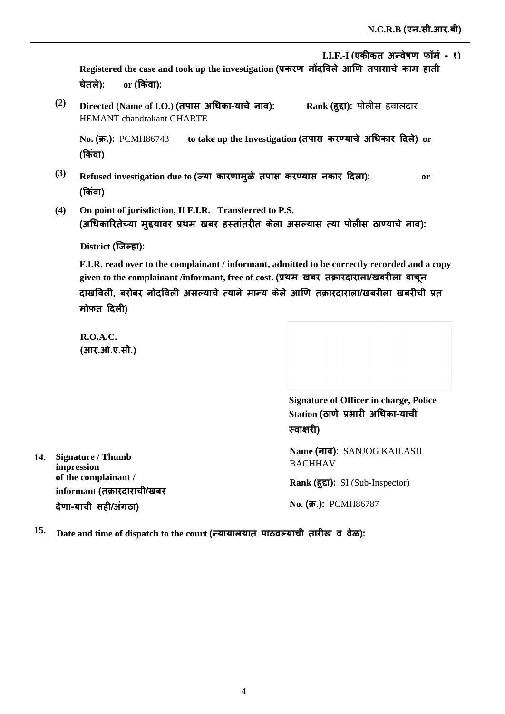Registered the case and took up the investigation (प्रकरण नोदविले आणि तपासाचे काम हाती **ȯȯ or** <u>or (किंवा):</u>

**(2)**  $\bm{\mathrm{Directed}}$  (Name of I.O.) (तपास अधिका-याचे नाव): HEMANT chandrakant GHARTE  $\mathbf{Rank}\left(\mathbf{\bar{g}\bar{g}\bar{f}}\right): \ \exists \mathbf{N} \exists \mathbf{N} \exists \mathbf{N} \exists \mathbf{N} \exists \mathbf{N} \exists \mathbf{N} \exists \mathbf{N} \exists \mathbf{N} \exists \mathbf{N} \exists \mathbf{N} \exists \mathbf{N} \exists \mathbf{N} \exists \mathbf{N} \exists \mathbf{N} \exists \mathbf{N} \exists \mathbf{N} \exists \mathbf{N} \exists \mathbf{N} \exists \mathbf{N} \exists \mathbf{N} \exists \mathbf{N} \exists \mathbf{N} \exists \mathbf{N} \exists \mathbf{N} \$ 

**No.** (**क्र.**): PCMH86743 क्र.): PCMH86743 to take up the Investigation (तपास करण्याचे अधिकार दिले) or (किवा)

- **(3)** Refused investigation due to (ज्या कारणामुळे तपास करण्यास नकार दिला): or (किवा)
- **(4) On point of jurisdiction, If F.I.R. Transferred to P.S.** (अधिकारितेच्या मुद्दयावर प्रथम खबर हस्तातरीत केला असल्यास त्या पोलीस ठाण्याचे नाव):

<u>District (जिल्हा):</u>

**F.I.R. read over to the complainant / informant, admitted to be correctly recorded and a copy**  given to the complainant /informant, free of cost. (प्रथम) खबर) तक्रारदाराला/खबरीला) वाचून दाखविली, बरोबर नोंदविली असल्याचे त्याने मान्य केले आणि तक्रारदाराला/खबरीला खबरीची प्रत **मोफत दिली)** 

**R.O.A.C.**  (आर.ओ.ए.सी.)

**14. Signature / Thumb impression**

**of the complainant /** 

देणा-याची सही/अंगठा)

informant (तक्रारदाराची/खबर

**Signature of Officer in charge, Police**   $\mathbf S$ tation (ठाणे प्रभारी अधिका-याची स्वाक्षरी)

**Name ȡ**SANJOG KAILASH **BACHHAV** 

Rank (हुद्दा): SI (Sub-Inspector)

 $N$ **o. (क्र.):** PCMH86787

 $^{15.}$  Date and time of dispatch to the court (न्यायालयात पाठवल्याची तारीख व वेळ):